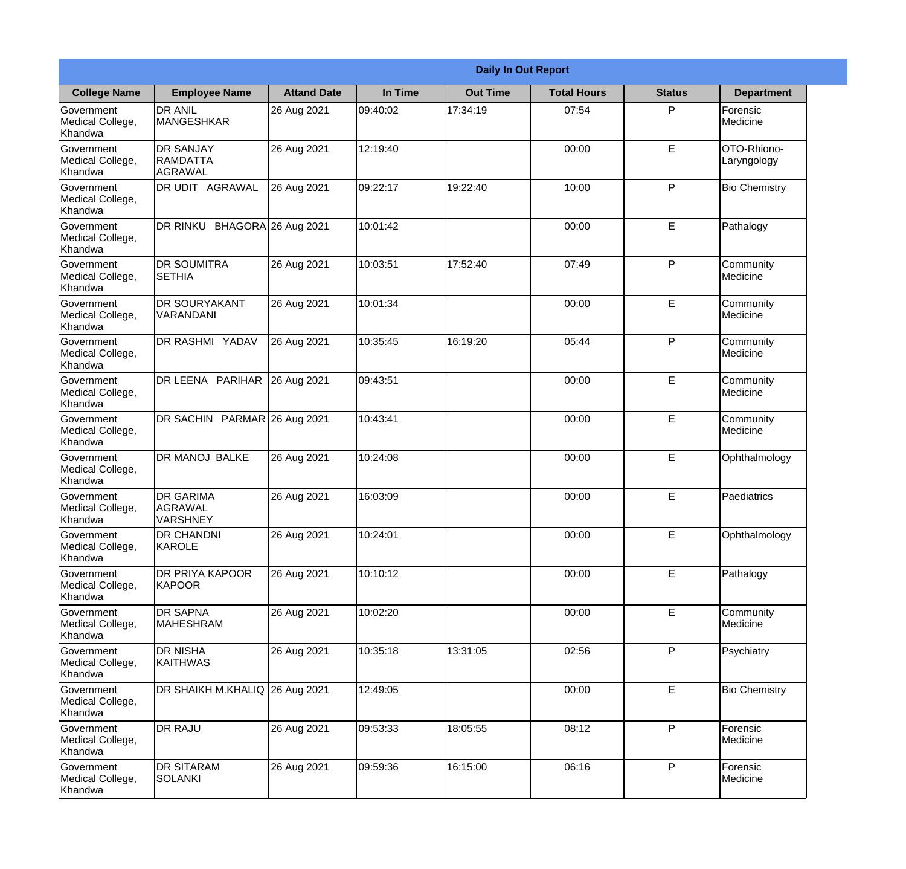|                                                  |                                                       |                    |          | <b>Daily In Out Report</b> |                    |               |                            |  |
|--------------------------------------------------|-------------------------------------------------------|--------------------|----------|----------------------------|--------------------|---------------|----------------------------|--|
| <b>College Name</b>                              | <b>Employee Name</b>                                  | <b>Attand Date</b> | In Time  | <b>Out Time</b>            | <b>Total Hours</b> | <b>Status</b> | <b>Department</b>          |  |
| Government<br>Medical College,<br>Khandwa        | <b>DR ANIL</b><br><b>MANGESHKAR</b>                   | 26 Aug 2021        | 09:40:02 | 17:34:19                   | 07:54              | P             | Forensic<br>Medicine       |  |
| Government<br>Medical College,<br>Khandwa        | <b>DR SANJAY</b><br><b>RAMDATTA</b><br><b>AGRAWAL</b> | 26 Aug 2021        | 12:19:40 |                            | 00:00              | $\mathsf E$   | OTO-Rhiono-<br>Laryngology |  |
| <b>Government</b><br>Medical College,<br>Khandwa | DR UDIT AGRAWAL                                       | 26 Aug 2021        | 09:22:17 | 19:22:40                   | 10:00              | P             | <b>Bio Chemistry</b>       |  |
| <b>Government</b><br>Medical College,<br>Khandwa | DR RINKU BHAGORA 26 Aug 2021                          |                    | 10:01:42 |                            | 00:00              | E             | Pathalogy                  |  |
| Government<br>Medical College,<br>Khandwa        | <b>DR SOUMITRA</b><br><b>SETHIA</b>                   | 26 Aug 2021        | 10:03:51 | 17:52:40                   | 07:49              | P             | Community<br>Medicine      |  |
| Government<br>Medical College,<br>Khandwa        | <b>DR SOURYAKANT</b><br>VARANDANI                     | 26 Aug 2021        | 10:01:34 |                            | 00:00              | E             | Community<br>Medicine      |  |
| <b>Government</b><br>Medical College,<br>Khandwa | DR RASHMI YADAV                                       | 26 Aug 2021        | 10:35:45 | 16:19:20                   | 05:44              | P             | Community<br>Medicine      |  |
| <b>Government</b><br>Medical College,<br>Khandwa | DR LEENA PARIHAR 26 Aug 2021                          |                    | 09:43:51 |                            | 00:00              | E             | Community<br>Medicine      |  |
| Government<br>Medical College,<br>Khandwa        | DR SACHIN PARMAR 26 Aug 2021                          |                    | 10:43:41 |                            | 00:00              | E             | Community<br>Medicine      |  |
| Government<br>Medical College,<br>Khandwa        | <b>DR MANOJ BALKE</b>                                 | 26 Aug 2021        | 10:24:08 |                            | 00:00              | $\mathsf E$   | Ophthalmology              |  |
| Government<br>Medical College,<br>Khandwa        | <b>DR GARIMA</b><br>AGRAWAL<br>VARSHNEY               | 26 Aug 2021        | 16:03:09 |                            | 00:00              | E             | Paediatrics                |  |
| Government<br>Medical College,<br>Khandwa        | <b>DR CHANDNI</b><br>KAROLE                           | 26 Aug 2021        | 10:24:01 |                            | 00:00              | E             | Ophthalmology              |  |
| Government<br>Medical College,<br>Khandwa        | <b>DR PRIYA KAPOOR</b><br><b>KAPOOR</b>               | 26 Aug 2021        | 10:10:12 |                            | 00:00              | E             | Pathalogy                  |  |
| Government<br>Medical College,<br>Khandwa        | <b>DR SAPNA</b><br><b>MAHESHRAM</b>                   | 26 Aug 2021        | 10:02:20 |                            | 00:00              | $\mathsf E$   | Community<br>Medicine      |  |
| Government<br>Medical College,<br>Khandwa        | <b>DR NISHA</b><br><b>KAITHWAS</b>                    | 26 Aug 2021        | 10:35:18 | 13:31:05                   | 02:56              | P             | Psychiatry                 |  |
| Government<br>Medical College,<br>Khandwa        | DR SHAIKH M.KHALIQ 26 Aug 2021                        |                    | 12:49:05 |                            | 00:00              | E             | <b>Bio Chemistry</b>       |  |
| Government<br>Medical College,<br>Khandwa        | <b>DR RAJU</b>                                        | 26 Aug 2021        | 09:53:33 | 18:05:55                   | 08:12              | P             | Forensic<br>Medicine       |  |
| Government<br>Medical College,<br>Khandwa        | <b>DR SITARAM</b><br><b>SOLANKI</b>                   | 26 Aug 2021        | 09:59:36 | 16:15:00                   | 06:16              | P             | Forensic<br>Medicine       |  |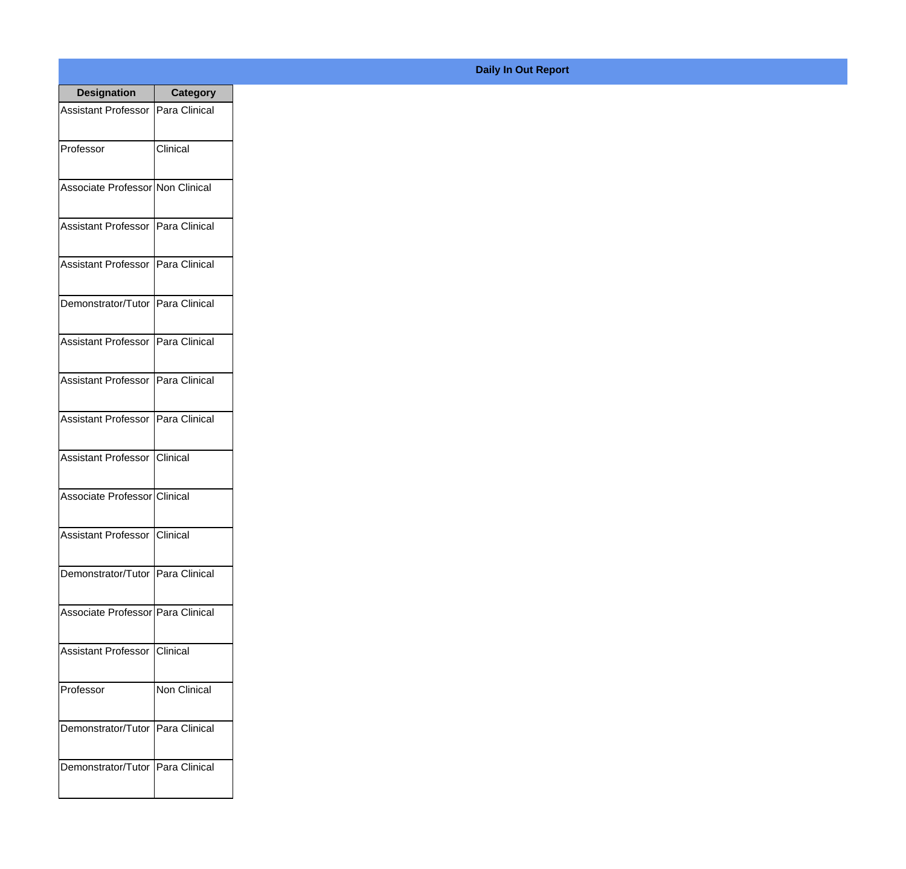| <b>Designation</b>                  | <b>Category</b> |
|-------------------------------------|-----------------|
| Assistant Professor   Para Clinical |                 |
| Professor                           | Clinical        |
| Associate Professor Non Clinical    |                 |
| <b>Assistant Professor</b>          | Para Clinical   |
| <b>Assistant Professor</b>          | Para Clinical   |
| Demonstrator/Tutor   Para Clinical  |                 |
| Assistant Professor   Para Clinical |                 |
| Assistant Professor   Para Clinical |                 |
| Assistant Professor   Para Clinical |                 |
| Assistant Professor   Clinical      |                 |
| Associate Professor Clinical        |                 |
| Assistant Professor Clinical        |                 |
| Demonstrator/Tutor   Para Clinical  |                 |
| Associate Professor Para Clinical   |                 |
| Assistant Professor                 | <b>Clinical</b> |
| Professor                           | Non Clinical    |
| Demonstrator/Tutor   Para Clinical  |                 |
| Demonstrator/Tutor   Para Clinical  |                 |

## **Daily In Out Report**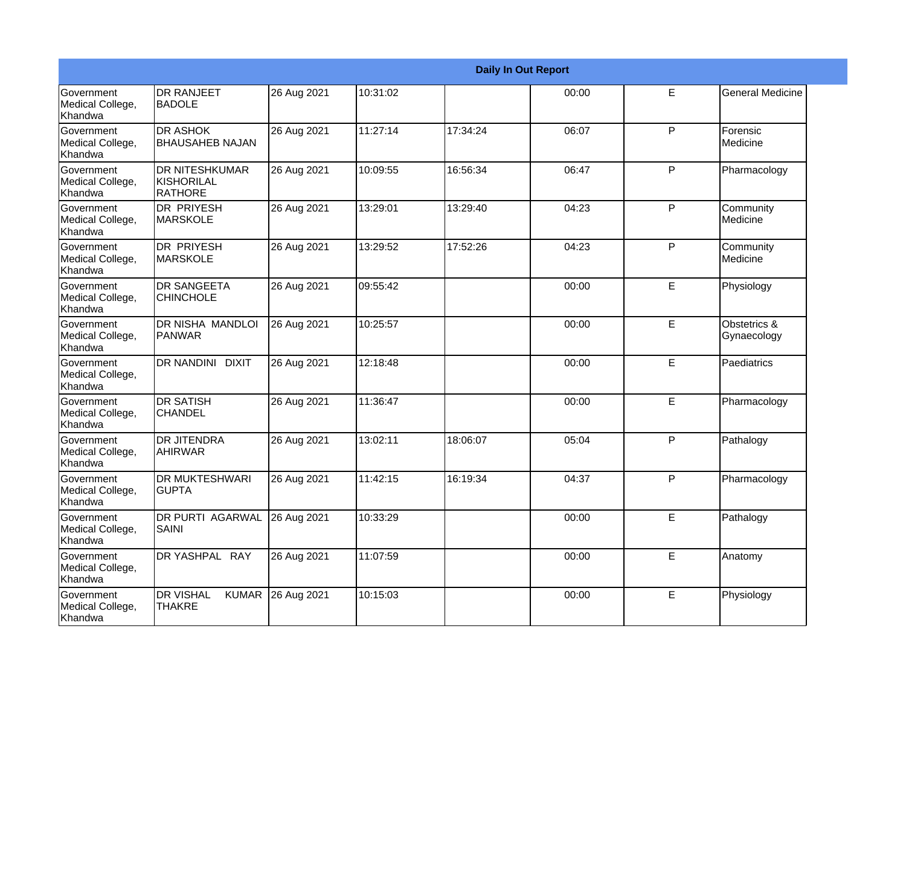|                                           |                                                   |             |          |          | <b>Daily In Out Report</b> |   |                             |
|-------------------------------------------|---------------------------------------------------|-------------|----------|----------|----------------------------|---|-----------------------------|
| Government<br>Medical College,<br>Khandwa | <b>DR RANJEET</b><br><b>BADOLE</b>                | 26 Aug 2021 | 10:31:02 |          | 00:00                      | E | <b>General Medicine</b>     |
| Government<br>Medical College,<br>Khandwa | <b>DR ASHOK</b><br><b>BHAUSAHEB NAJAN</b>         | 26 Aug 2021 | 11:27:14 | 17:34:24 | 06:07                      | P | Forensic<br>Medicine        |
| Government<br>Medical College,<br>Khandwa | <b>DR NITESHKUMAR</b><br>KISHORILAL<br>RATHORE    | 26 Aug 2021 | 10:09:55 | 16:56:34 | 06:47                      | P | Pharmacology                |
| Government<br>Medical College,<br>Khandwa | IDR PRIYESH<br><b>MARSKOLE</b>                    | 26 Aug 2021 | 13:29:01 | 13:29:40 | 04:23                      | P | Community<br>Medicine       |
| Government<br>Medical College,<br>Khandwa | <b>DR PRIYESH</b><br><b>MARSKOLE</b>              | 26 Aug 2021 | 13:29:52 | 17:52:26 | 04:23                      | P | Community<br>Medicine       |
| Government<br>Medical College,<br>Khandwa | <b>DR SANGEETA</b><br><b>CHINCHOLE</b>            | 26 Aug 2021 | 09:55:42 |          | 00:00                      | E | Physiology                  |
| Government<br>Medical College,<br>Khandwa | <b>DR NISHA MANDLOI</b><br>PANWAR                 | 26 Aug 2021 | 10:25:57 |          | 00:00                      | E | Obstetrics &<br>Gynaecology |
| Government<br>Medical College,<br>Khandwa | DR NANDINI DIXIT                                  | 26 Aug 2021 | 12:18:48 |          | 00:00                      | E | Paediatrics                 |
| Government<br>Medical College,<br>Khandwa | <b>DR SATISH</b><br><b>CHANDEL</b>                | 26 Aug 2021 | 11:36:47 |          | 00:00                      | E | Pharmacology                |
| Government<br>Medical College,<br>Khandwa | <b>DR JITENDRA</b><br><b>AHIRWAR</b>              | 26 Aug 2021 | 13:02:11 | 18:06:07 | 05:04                      | P | Pathalogy                   |
| Government<br>Medical College,<br>Khandwa | <b>DR MUKTESHWARI</b><br><b>GUPTA</b>             | 26 Aug 2021 | 11:42:15 | 16:19:34 | 04:37                      | P | Pharmacology                |
| Government<br>Medical College,<br>Khandwa | <b>DR PURTI AGARWAL</b><br>SAINI                  | 26 Aug 2021 | 10:33:29 |          | 00:00                      | E | Pathalogy                   |
| Government<br>Medical College,<br>Khandwa | DR YASHPAL RAY                                    | 26 Aug 2021 | 11:07:59 |          | 00:00                      | E | Anatomy                     |
| Government<br>Medical College,<br>Khandwa | <b>DR VISHAL</b><br><b>KUMAR</b><br><b>THAKRE</b> | 26 Aug 2021 | 10:15:03 |          | 00:00                      | E | Physiology                  |